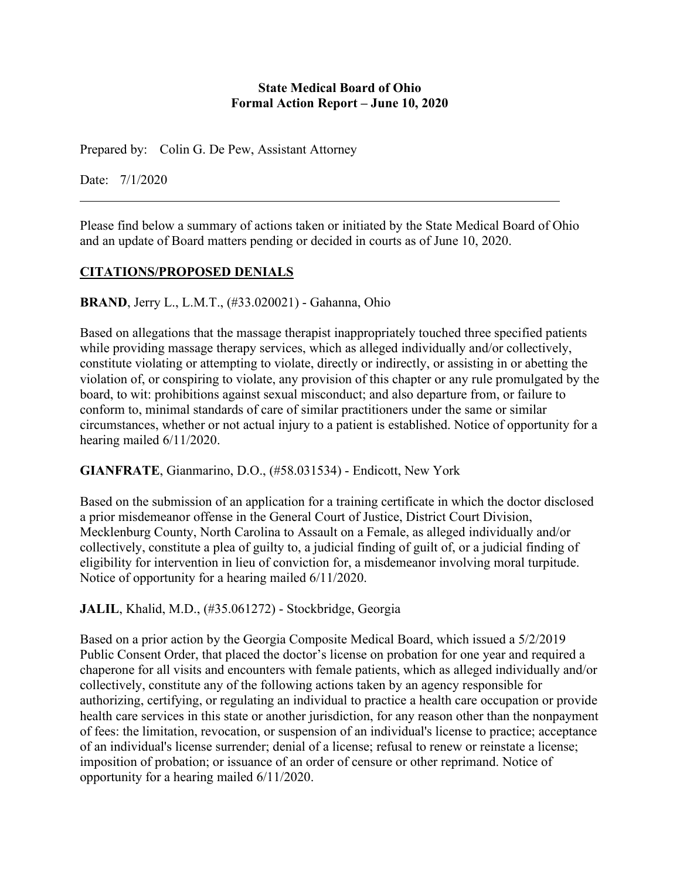#### **State Medical Board of Ohio Formal Action Report – June 10, 2020**

Prepared by: Colin G. De Pew, Assistant Attorney

Date: 7/1/2020

Please find below a summary of actions taken or initiated by the State Medical Board of Ohio and an update of Board matters pending or decided in courts as of June 10, 2020.

## **CITATIONS/PROPOSED DENIALS**

**BRAND**, Jerry L., L.M.T., (#33.020021) - Gahanna, Ohio

Based on allegations that the massage therapist inappropriately touched three specified patients while providing massage therapy services, which as alleged individually and/or collectively, constitute violating or attempting to violate, directly or indirectly, or assisting in or abetting the violation of, or conspiring to violate, any provision of this chapter or any rule promulgated by the board, to wit: prohibitions against sexual misconduct; and also departure from, or failure to conform to, minimal standards of care of similar practitioners under the same or similar circumstances, whether or not actual injury to a patient is established. Notice of opportunity for a hearing mailed 6/11/2020.

## **GIANFRATE**, Gianmarino, D.O., (#58.031534) - Endicott, New York

Based on the submission of an application for a training certificate in which the doctor disclosed a prior misdemeanor offense in the General Court of Justice, District Court Division, Mecklenburg County, North Carolina to Assault on a Female, as alleged individually and/or collectively, constitute a plea of guilty to, a judicial finding of guilt of, or a judicial finding of eligibility for intervention in lieu of conviction for, a misdemeanor involving moral turpitude. Notice of opportunity for a hearing mailed 6/11/2020.

**JALIL**, Khalid, M.D., (#35.061272) - Stockbridge, Georgia

Based on a prior action by the Georgia Composite Medical Board, which issued a 5/2/2019 Public Consent Order, that placed the doctor's license on probation for one year and required a chaperone for all visits and encounters with female patients, which as alleged individually and/or collectively, constitute any of the following actions taken by an agency responsible for authorizing, certifying, or regulating an individual to practice a health care occupation or provide health care services in this state or another jurisdiction, for any reason other than the nonpayment of fees: the limitation, revocation, or suspension of an individual's license to practice; acceptance of an individual's license surrender; denial of a license; refusal to renew or reinstate a license; imposition of probation; or issuance of an order of censure or other reprimand. Notice of opportunity for a hearing mailed 6/11/2020.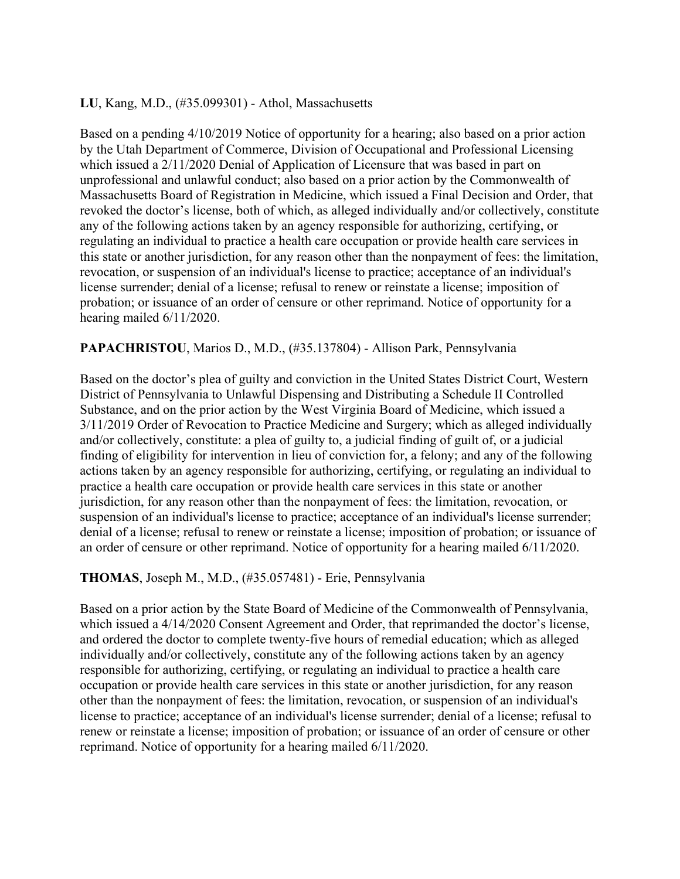#### **LU**, Kang, M.D., (#35.099301) - Athol, Massachusetts

Based on a pending 4/10/2019 Notice of opportunity for a hearing; also based on a prior action by the Utah Department of Commerce, Division of Occupational and Professional Licensing which issued a 2/11/2020 Denial of Application of Licensure that was based in part on unprofessional and unlawful conduct; also based on a prior action by the Commonwealth of Massachusetts Board of Registration in Medicine, which issued a Final Decision and Order, that revoked the doctor's license, both of which, as alleged individually and/or collectively, constitute any of the following actions taken by an agency responsible for authorizing, certifying, or regulating an individual to practice a health care occupation or provide health care services in this state or another jurisdiction, for any reason other than the nonpayment of fees: the limitation, revocation, or suspension of an individual's license to practice; acceptance of an individual's license surrender; denial of a license; refusal to renew or reinstate a license; imposition of probation; or issuance of an order of censure or other reprimand. Notice of opportunity for a hearing mailed 6/11/2020.

## **PAPACHRISTOU**, Marios D., M.D., (#35.137804) - Allison Park, Pennsylvania

Based on the doctor's plea of guilty and conviction in the United States District Court, Western District of Pennsylvania to Unlawful Dispensing and Distributing a Schedule II Controlled Substance, and on the prior action by the West Virginia Board of Medicine, which issued a 3/11/2019 Order of Revocation to Practice Medicine and Surgery; which as alleged individually and/or collectively, constitute: a plea of guilty to, a judicial finding of guilt of, or a judicial finding of eligibility for intervention in lieu of conviction for, a felony; and any of the following actions taken by an agency responsible for authorizing, certifying, or regulating an individual to practice a health care occupation or provide health care services in this state or another jurisdiction, for any reason other than the nonpayment of fees: the limitation, revocation, or suspension of an individual's license to practice; acceptance of an individual's license surrender; denial of a license; refusal to renew or reinstate a license; imposition of probation; or issuance of an order of censure or other reprimand. Notice of opportunity for a hearing mailed 6/11/2020.

## **THOMAS**, Joseph M., M.D., (#35.057481) - Erie, Pennsylvania

Based on a prior action by the State Board of Medicine of the Commonwealth of Pennsylvania, which issued a 4/14/2020 Consent Agreement and Order, that reprimanded the doctor's license, and ordered the doctor to complete twenty-five hours of remedial education; which as alleged individually and/or collectively, constitute any of the following actions taken by an agency responsible for authorizing, certifying, or regulating an individual to practice a health care occupation or provide health care services in this state or another jurisdiction, for any reason other than the nonpayment of fees: the limitation, revocation, or suspension of an individual's license to practice; acceptance of an individual's license surrender; denial of a license; refusal to renew or reinstate a license; imposition of probation; or issuance of an order of censure or other reprimand. Notice of opportunity for a hearing mailed 6/11/2020.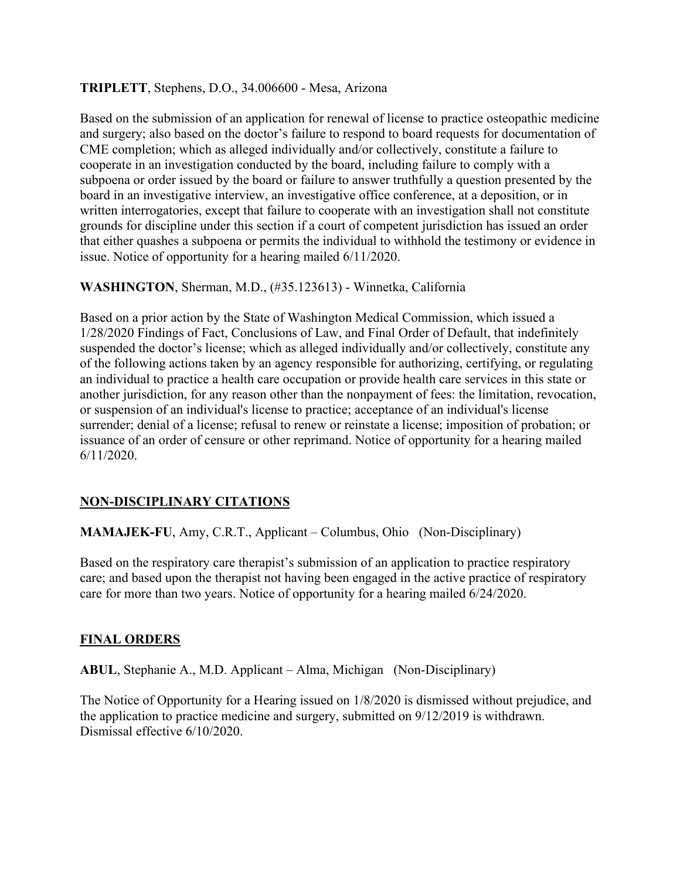#### **TRIPLETT**, Stephens, D.O., 34.006600 - Mesa, Arizona

Based on the submission of an application for renewal of license to practice osteopathic medicine and surgery; also based on the doctor's failure to respond to board requests for documentation of CME completion; which as alleged individually and/or collectively, constitute a failure to cooperate in an investigation conducted by the board, including failure to comply with a subpoena or order issued by the board or failure to answer truthfully a question presented by the board in an investigative interview, an investigative office conference, at a deposition, or in written interrogatories, except that failure to cooperate with an investigation shall not constitute grounds for discipline under this section if a court of competent jurisdiction has issued an order that either quashes a subpoena or permits the individual to withhold the testimony or evidence in issue. Notice of opportunity for a hearing mailed 6/11/2020.

**WASHINGTON**, Sherman, M.D., (#35.123613) - Winnetka, California

Based on a prior action by the State of Washington Medical Commission, which issued a 1/28/2020 Findings of Fact, Conclusions of Law, and Final Order of Default, that indefinitely suspended the doctor's license; which as alleged individually and/or collectively, constitute any of the following actions taken by an agency responsible for authorizing, certifying, or regulating an individual to practice a health care occupation or provide health care services in this state or another jurisdiction, for any reason other than the nonpayment of fees: the limitation, revocation, or suspension of an individual's license to practice; acceptance of an individual's license surrender; denial of a license; refusal to renew or reinstate a license; imposition of probation; or issuance of an order of censure or other reprimand. Notice of opportunity for a hearing mailed 6/11/2020.

## **NON-DISCIPLINARY CITATIONS**

**MAMAJEK-FU**, Amy, C.R.T., Applicant – Columbus, Ohio (Non-Disciplinary)

Based on the respiratory care therapist's submission of an application to practice respiratory care; and based upon the therapist not having been engaged in the active practice of respiratory care for more than two years. Notice of opportunity for a hearing mailed 6/24/2020.

#### **FINAL ORDERS**

**ABUL**, Stephanie A., M.D. Applicant – Alma, Michigan (Non-Disciplinary)

The Notice of Opportunity for a Hearing issued on 1/8/2020 is dismissed without prejudice, and the application to practice medicine and surgery, submitted on 9/12/2019 is withdrawn. Dismissal effective 6/10/2020.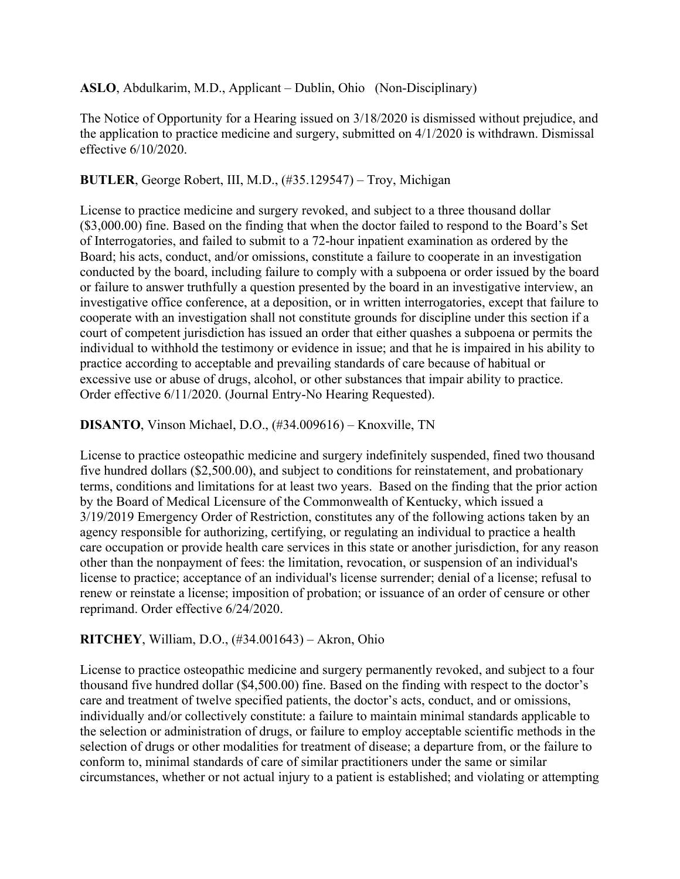**ASLO**, Abdulkarim, M.D., Applicant – Dublin, Ohio (Non-Disciplinary)

The Notice of Opportunity for a Hearing issued on 3/18/2020 is dismissed without prejudice, and the application to practice medicine and surgery, submitted on 4/1/2020 is withdrawn. Dismissal effective 6/10/2020.

## **BUTLER**, George Robert, III, M.D., (#35.129547) – Troy, Michigan

License to practice medicine and surgery revoked, and subject to a three thousand dollar (\$3,000.00) fine. Based on the finding that when the doctor failed to respond to the Board's Set of Interrogatories, and failed to submit to a 72-hour inpatient examination as ordered by the Board; his acts, conduct, and/or omissions, constitute a failure to cooperate in an investigation conducted by the board, including failure to comply with a subpoena or order issued by the board or failure to answer truthfully a question presented by the board in an investigative interview, an investigative office conference, at a deposition, or in written interrogatories, except that failure to cooperate with an investigation shall not constitute grounds for discipline under this section if a court of competent jurisdiction has issued an order that either quashes a subpoena or permits the individual to withhold the testimony or evidence in issue; and that he is impaired in his ability to practice according to acceptable and prevailing standards of care because of habitual or excessive use or abuse of drugs, alcohol, or other substances that impair ability to practice. Order effective 6/11/2020. (Journal Entry-No Hearing Requested).

## **DISANTO**, Vinson Michael, D.O., (#34.009616) – Knoxville, TN

License to practice osteopathic medicine and surgery indefinitely suspended, fined two thousand five hundred dollars (\$2,500.00), and subject to conditions for reinstatement, and probationary terms, conditions and limitations for at least two years. Based on the finding that the prior action by the Board of Medical Licensure of the Commonwealth of Kentucky, which issued a 3/19/2019 Emergency Order of Restriction, constitutes any of the following actions taken by an agency responsible for authorizing, certifying, or regulating an individual to practice a health care occupation or provide health care services in this state or another jurisdiction, for any reason other than the nonpayment of fees: the limitation, revocation, or suspension of an individual's license to practice; acceptance of an individual's license surrender; denial of a license; refusal to renew or reinstate a license; imposition of probation; or issuance of an order of censure or other reprimand. Order effective 6/24/2020.

## **RITCHEY**, William, D.O., (#34.001643) – Akron, Ohio

License to practice osteopathic medicine and surgery permanently revoked, and subject to a four thousand five hundred dollar (\$4,500.00) fine. Based on the finding with respect to the doctor's care and treatment of twelve specified patients, the doctor's acts, conduct, and or omissions, individually and/or collectively constitute: a failure to maintain minimal standards applicable to the selection or administration of drugs, or failure to employ acceptable scientific methods in the selection of drugs or other modalities for treatment of disease; a departure from, or the failure to conform to, minimal standards of care of similar practitioners under the same or similar circumstances, whether or not actual injury to a patient is established; and violating or attempting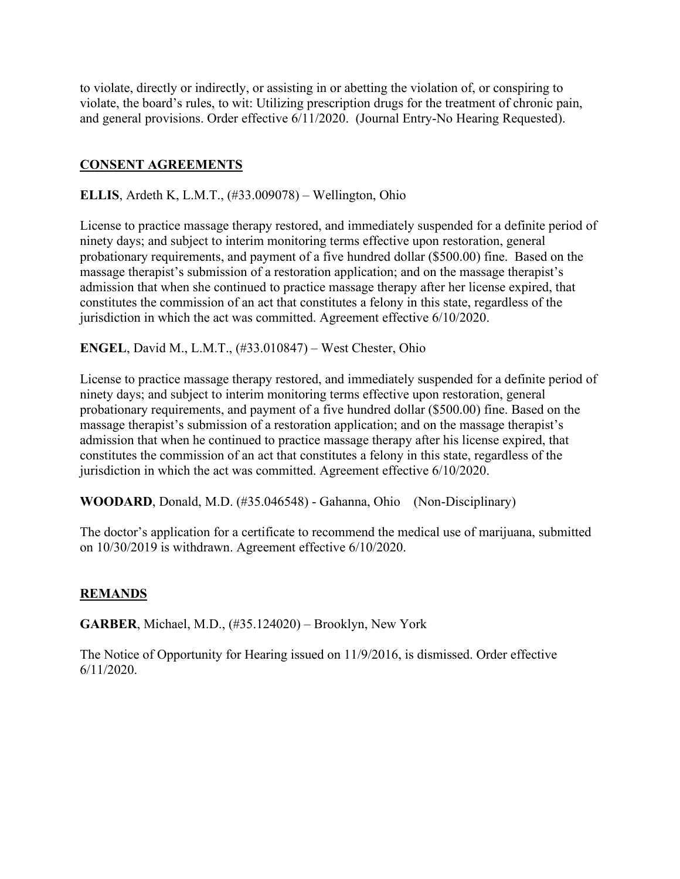to violate, directly or indirectly, or assisting in or abetting the violation of, or conspiring to violate, the board's rules, to wit: Utilizing prescription drugs for the treatment of chronic pain, and general provisions. Order effective 6/11/2020. (Journal Entry-No Hearing Requested).

## **CONSENT AGREEMENTS**

**ELLIS**, Ardeth K, L.M.T., (#33.009078) – Wellington, Ohio

License to practice massage therapy restored, and immediately suspended for a definite period of ninety days; and subject to interim monitoring terms effective upon restoration, general probationary requirements, and payment of a five hundred dollar (\$500.00) fine. Based on the massage therapist's submission of a restoration application; and on the massage therapist's admission that when she continued to practice massage therapy after her license expired, that constitutes the commission of an act that constitutes a felony in this state, regardless of the jurisdiction in which the act was committed. Agreement effective 6/10/2020.

**ENGEL**, David M., L.M.T., (#33.010847) – West Chester, Ohio

License to practice massage therapy restored, and immediately suspended for a definite period of ninety days; and subject to interim monitoring terms effective upon restoration, general probationary requirements, and payment of a five hundred dollar (\$500.00) fine. Based on the massage therapist's submission of a restoration application; and on the massage therapist's admission that when he continued to practice massage therapy after his license expired, that constitutes the commission of an act that constitutes a felony in this state, regardless of the jurisdiction in which the act was committed. Agreement effective 6/10/2020.

**WOODARD**, Donald, M.D. (#35.046548) - Gahanna, Ohio (Non-Disciplinary)

The doctor's application for a certificate to recommend the medical use of marijuana, submitted on 10/30/2019 is withdrawn. Agreement effective 6/10/2020.

## **REMANDS**

**GARBER**, Michael, M.D., (#35.124020) – Brooklyn, New York

The Notice of Opportunity for Hearing issued on 11/9/2016, is dismissed. Order effective 6/11/2020.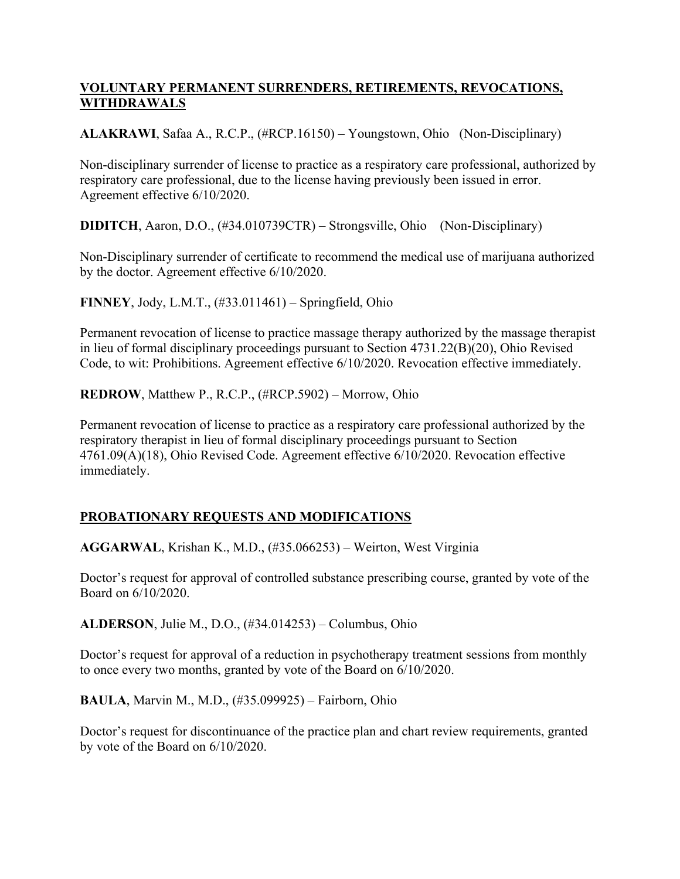## **VOLUNTARY PERMANENT SURRENDERS, RETIREMENTS, REVOCATIONS, WITHDRAWALS**

**ALAKRAWI**, Safaa A., R.C.P., (#RCP.16150) – Youngstown, Ohio (Non-Disciplinary)

Non-disciplinary surrender of license to practice as a respiratory care professional, authorized by respiratory care professional, due to the license having previously been issued in error. Agreement effective 6/10/2020.

**DIDITCH**, Aaron, D.O., (#34.010739CTR) – Strongsville, Ohio (Non-Disciplinary)

Non-Disciplinary surrender of certificate to recommend the medical use of marijuana authorized by the doctor. Agreement effective 6/10/2020.

**FINNEY**, Jody, L.M.T., (#33.011461) – Springfield, Ohio

Permanent revocation of license to practice massage therapy authorized by the massage therapist in lieu of formal disciplinary proceedings pursuant to Section 4731.22(B)(20), Ohio Revised Code, to wit: Prohibitions. Agreement effective 6/10/2020. Revocation effective immediately.

**REDROW**, Matthew P., R.C.P., (#RCP.5902) – Morrow, Ohio

Permanent revocation of license to practice as a respiratory care professional authorized by the respiratory therapist in lieu of formal disciplinary proceedings pursuant to Section 4761.09(A)(18), Ohio Revised Code. Agreement effective 6/10/2020. Revocation effective immediately.

# **PROBATIONARY REQUESTS AND MODIFICATIONS**

**AGGARWAL**, Krishan K., M.D., (#35.066253) – Weirton, West Virginia

Doctor's request for approval of controlled substance prescribing course, granted by vote of the Board on 6/10/2020.

**ALDERSON**, Julie M., D.O., (#34.014253) – Columbus, Ohio

Doctor's request for approval of a reduction in psychotherapy treatment sessions from monthly to once every two months, granted by vote of the Board on 6/10/2020.

**BAULA**, Marvin M., M.D., (#35.099925) – Fairborn, Ohio

Doctor's request for discontinuance of the practice plan and chart review requirements, granted by vote of the Board on 6/10/2020.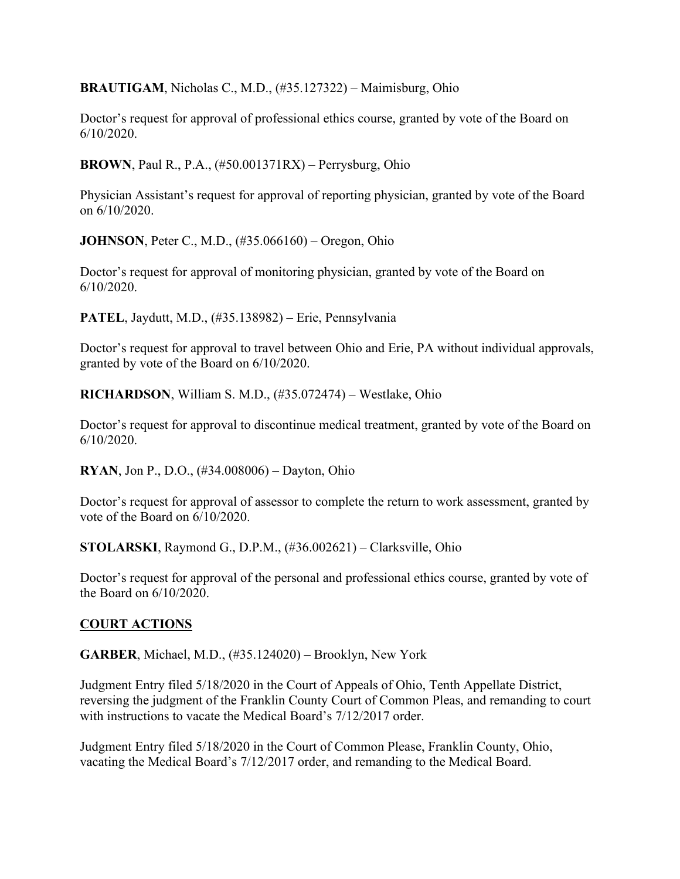**BRAUTIGAM**, Nicholas C., M.D., (#35.127322) – Maimisburg, Ohio

Doctor's request for approval of professional ethics course, granted by vote of the Board on 6/10/2020.

**BROWN**, Paul R., P.A., (#50.001371RX) – Perrysburg, Ohio

Physician Assistant's request for approval of reporting physician, granted by vote of the Board on 6/10/2020.

**JOHNSON**, Peter C., M.D., (#35.066160) – Oregon, Ohio

Doctor's request for approval of monitoring physician, granted by vote of the Board on 6/10/2020.

**PATEL**, Jaydutt, M.D., (#35.138982) – Erie, Pennsylvania

Doctor's request for approval to travel between Ohio and Erie, PA without individual approvals, granted by vote of the Board on 6/10/2020.

**RICHARDSON**, William S. M.D., (#35.072474) – Westlake, Ohio

Doctor's request for approval to discontinue medical treatment, granted by vote of the Board on 6/10/2020.

**RYAN**, Jon P., D.O., (#34.008006) – Dayton, Ohio

Doctor's request for approval of assessor to complete the return to work assessment, granted by vote of the Board on 6/10/2020.

**STOLARSKI**, Raymond G., D.P.M., (#36.002621) – Clarksville, Ohio

Doctor's request for approval of the personal and professional ethics course, granted by vote of the Board on 6/10/2020.

## **COURT ACTIONS**

**GARBER**, Michael, M.D., (#35.124020) – Brooklyn, New York

Judgment Entry filed 5/18/2020 in the Court of Appeals of Ohio, Tenth Appellate District, reversing the judgment of the Franklin County Court of Common Pleas, and remanding to court with instructions to vacate the Medical Board's 7/12/2017 order.

Judgment Entry filed 5/18/2020 in the Court of Common Please, Franklin County, Ohio, vacating the Medical Board's 7/12/2017 order, and remanding to the Medical Board.